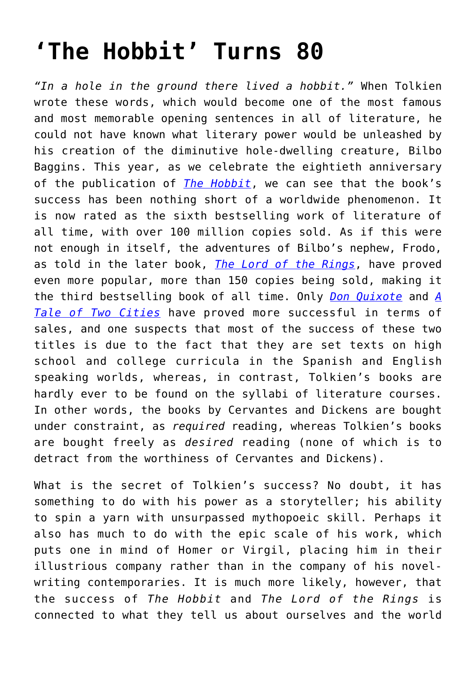## **['The Hobbit' Turns 80](https://intellectualtakeout.org/2017/10/the-hobbit-turns-80/)**

*"In a hole in the ground there lived a hobbit."* When Tolkien wrote these words, which would become one of the most famous and most memorable opening sentences in all of literature, he could not have known what literary power would be unleashed by his creation of the diminutive hole-dwelling creature, Bilbo Baggins. This year, as we celebrate the eightieth anniversary of the publication of *[The Hobbit](http://astore.amazon.com/theimaginativeconservative-20/detail/054792822X)*, we can see that the book's success has been nothing short of a worldwide phenomenon. It is now rated as the sixth bestselling work of literature of all time, with over 100 million copies sold. As if this were not enough in itself, the adventures of Bilbo's nephew, Frodo, as told in the later book, *[The Lord of the Rings](http://astore.amazon.com/theimaginativeconservative-20/detail/0618640150)*, have proved even more popular, more than 150 copies being sold, making it the third bestselling book of all time. Only *[Don Quixote](http://astore.amazon.com/theimaginativeconservative-20/detail/0060934344)* and *[A](http://astore.amazon.com/theimaginativeconservative-20/detail/0486406512) [Tale of Two Cities](http://astore.amazon.com/theimaginativeconservative-20/detail/0486406512)* have proved more successful in terms of sales, and one suspects that most of the success of these two titles is due to the fact that they are set texts on high school and college curricula in the Spanish and English speaking worlds, whereas, in contrast, Tolkien's books are hardly ever to be found on the syllabi of literature courses. In other words, the books by Cervantes and Dickens are bought under constraint, as *required* reading, whereas Tolkien's books are bought freely as *desired* reading (none of which is to detract from the worthiness of Cervantes and Dickens).

What is the secret of Tolkien's success? No doubt, it has something to do with his power as a storyteller; his ability to spin a yarn with unsurpassed mythopoeic skill. Perhaps it also has much to do with the epic scale of his work, which puts one in mind of Homer or Virgil, placing him in their illustrious company rather than in the company of his novelwriting contemporaries. It is much more likely, however, that the success of *The Hobbit* and *The Lord of the Rings* is connected to what they tell us about ourselves and the world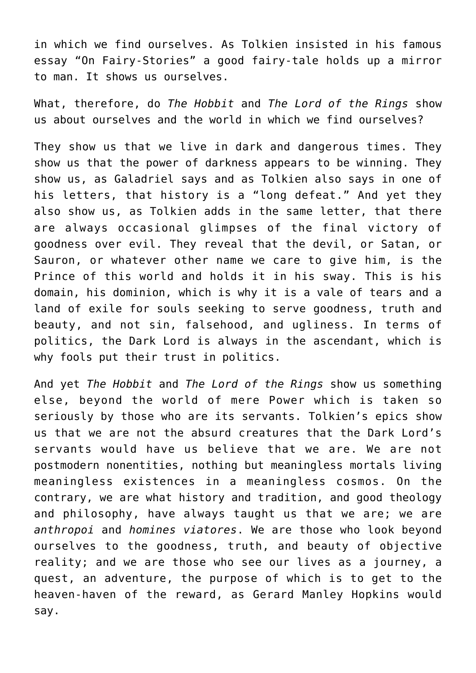in which we find ourselves. As Tolkien insisted in his famous essay "On Fairy-Stories" a good fairy-tale holds up a mirror to man. It shows us ourselves.

What, therefore, do *The Hobbit* and *The Lord of the Rings* show us about ourselves and the world in which we find ourselves?

They show us that we live in dark and dangerous times. They show us that the power of darkness appears to be winning. They show us, as Galadriel says and as Tolkien also says in one of his letters, that history is a "long defeat." And yet they also show us, as Tolkien adds in the same letter, that there are always occasional glimpses of the final victory of goodness over evil. They reveal that the devil, or Satan, or Sauron, or whatever other name we care to give him, is the Prince of this world and holds it in his sway. This is his domain, his dominion, which is why it is a vale of tears and a land of exile for souls seeking to serve goodness, truth and beauty, and not sin, falsehood, and ugliness. In terms of politics, the Dark Lord is always in the ascendant, which is why fools put their trust in politics.

And yet *The Hobbit* and *The Lord of the Rings* show us something else, beyond the world of mere Power which is taken so seriously by those who are its servants. Tolkien's epics show us that we are not the absurd creatures that the Dark Lord's servants would have us believe that we are. We are not postmodern nonentities, nothing but meaningless mortals living meaningless existences in a meaningless cosmos. On the contrary, we are what history and tradition, and good theology and philosophy, have always taught us that we are; we are *anthropoi* and *homines viatores*. We are those who look beyond ourselves to the goodness, truth, and beauty of objective reality; and we are those who see our lives as a journey, a quest, an adventure, the purpose of which is to get to the heaven-haven of the reward, as Gerard Manley Hopkins would say.